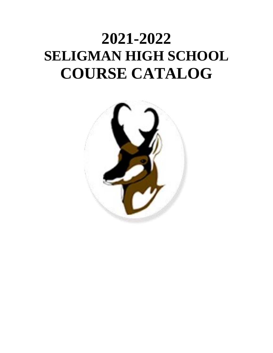# **2021-2022 SELIGMAN HIGH SCHOOL COURSE CATALOG**

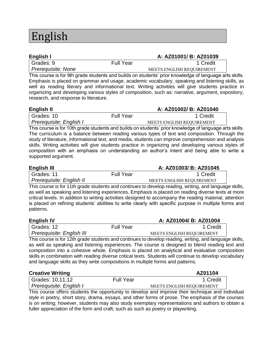## English

| English I                 |                  | A: AZ01001/ B: AZ01039    |
|---------------------------|------------------|---------------------------|
| Grades: 9                 | <b>Full Year</b> | 1 Credit                  |
| <i>Prerequisite: None</i> |                  | MEETS ENGLISH REQUIREMENT |

This course is for 9th grade students and builds on students' prior knowledge of language arts skills. Emphasis is placed on grammar and usage, academic vocabulary, speaking and listening skills, as well as reading literary and informational text. Writing activities will give students practice in organizing and developing various styles of composition, such as: narrative, argument, expository, research, and response to literature.

| English II              |                  | A: AZ01002/ B: AZ01040           |
|-------------------------|------------------|----------------------------------|
| Grades: 10              | <b>Full Year</b> | 1 Credit                         |
| Prerequisite: English I |                  | <b>MEETS ENGLISH REOUIREMENT</b> |

This course is for 10th grade students and builds on students' prior knowledge of language arts skills. The curriculum is a balance between reading various types of text and composition. Through the study of literature, informational text, and media, students can improve comprehension and analysis skills. Writing activities will give students practice in organizing and developing various styles of composition with an emphasis on understanding an author's intent and being able to write a supported argument.

| <b>English III</b>       |                  | A: AZ01003/ B: AZ01045    |
|--------------------------|------------------|---------------------------|
| Grades: 11               | <b>Full Year</b> | 1 Credit                  |
| Prerequisite: English II |                  | MEETS ENGLISH REQUIREMENT |
| ---<br>.                 |                  |                           |

This course is for 11th grade students and continues to develop reading, writing, and language skills, as well as speaking and listening experiences. Emphasis is placed on reading diverse texts at more critical levels. In addition to writing activities designed to accompany the reading material, attention is placed on refining students' abilities to write clearly with specific purpose in multiple forms and patterns.

| <b>English IV</b>         |                  | A: AZ01004/ B: AZ01004    |
|---------------------------|------------------|---------------------------|
| Grades: 12                | <b>Full Year</b> | 1 Credit                  |
| Prerequisite: English III |                  | MEETS ENGLISH REQUIREMENT |
|                           |                  |                           |

This course is for 12th grade students and continues to develop reading, writing, and language skills, as well as speaking and listening experiences. The course is designed to blend reading text and composition into a cohesive whole. Emphasis is placed on analytical and evaluative composition skills in combination with reading diverse critical texts. Students will continue to develop vocabulary and language skills as they write compositions in multiple forms and patterns.

### **Creative Writing Creative Writing AZ01104** Grades: 10,11,12 Full Year Full Year 1 Credit **Prerequisite: English I**  MEETS ENGLISH REQUIREMENT

This course offers students the opportunity to develop and improve their technique and individual style in poetry, short story, drama, essays, and other forms of prose. The emphasis of the courses is on writing; however, students may also study exemplary representations and authors to obtain a fuller appreciation of the form and craft, such as such as poetry or playwriting.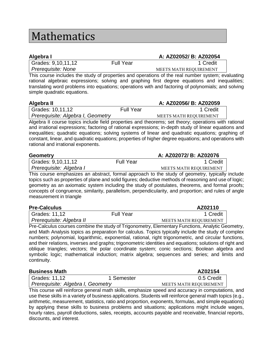### Mathematics

| Algebra I          |                  | A: AZ02052/ B: AZ02054        |
|--------------------|------------------|-------------------------------|
| Grades: 9,10,11,12 | <b>Full Year</b> | 1 Credit                      |
| Prerequisite: None |                  | <b>MEETS MATH REOUIREMENT</b> |

This course includes the study of properties and operations of the real number system; evaluating rational algebraic expressions; solving and graphing first degree equations and inequalities; translating word problems into equations; operations with and factoring of polynomials; and solving simple quadratic equations.

| Algebra II                        |                  | A: AZ02056/ B: AZ02059        |
|-----------------------------------|------------------|-------------------------------|
| Grades: 10,11,12                  | <b>Full Year</b> | 1 Credit                      |
| Prerequisite: Algebra I, Geometry |                  | <b>MEETS MATH REOUIREMENT</b> |
|                                   |                  |                               |

Algebra II course topics include field properties and theorems; set theory; operations with rational and irrational expressions; factoring of rational expressions; in-depth study of linear equations and inequalities; quadratic equations; solving systems of linear and quadratic equations; graphing of constant, linear, and quadratic equations; properties of higher degree equations; and operations with rational and irrational exponents.

| <b>Geometry</b>         |                  | A: AZ02072/ B: AZ02076        |
|-------------------------|------------------|-------------------------------|
| Grades: $9,10,11,12$    | <b>Full Year</b> | 1 Credit                      |
| Prerequisite: Algebra I |                  | <b>MEETS MATH REOUIREMENT</b> |

This course emphasizes an abstract, formal approach to the study of geometry, typically include topics such as properties of plane and solid figures; deductive methods of reasoning and use of logic; geometry as an axiomatic system including the study of postulates, theorems, and formal proofs; concepts of congruence, similarity, parallelism, perpendicularity, and proportion; and rules of angle measurement in triangle

| <b>Pre-Calculus</b>      |                  | AZ02110                       |
|--------------------------|------------------|-------------------------------|
| Grades: 11,12            | <b>Full Year</b> | 1 Credit                      |
| Prerequisite: Algebra II |                  | <b>MEETS MATH REOUIREMENT</b> |

Pre-Calculus courses combine the study of Trigonometry, Elementary Functions, Analytic Geometry, and Math Analysis topics as preparation for calculus. Topics typically include the study of complex numbers; polynomial, logarithmic, exponential, rational, right trigonometric, and circular functions, and their relations, inverses and graphs; trigonometric identities and equations; solutions of right and oblique triangles; vectors; the polar coordinate system; conic sections; Boolean algebra and symbolic logic; mathematical induction; matrix algebra; sequences and series; and limits and continuity.

| <b>Business Math</b>              |            | AZ02154                |
|-----------------------------------|------------|------------------------|
| Grades: 11,12                     | 1 Semester | 0.5 Credit             |
| Prerequisite: Algebra I, Geometry |            | MEETS MATH REQUIREMENT |
| ___                               |            |                        |

This course will reinforce general math skills, emphasize speed and accuracy in computations, and use these skills in a variety of business applications. Students will reinforce general math topics (e.g., arithmetic, measurement, statistics, ratio and proportion, exponents, formulas, and simple equations) by applying these skills to business problems and situations; applications might include wages, hourly rates, payroll deductions, sales, receipts, accounts payable and receivable, financial reports, discounts, and interest.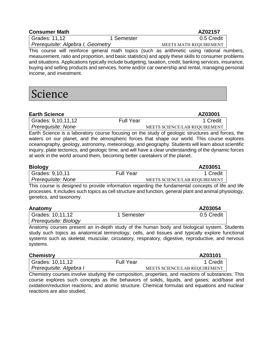| <b>Consumer Math</b> | AZ02157 |
|----------------------|---------|
|                      |         |

Grades: 11,12 1 Semester 1 1 Semester 0.5 Credit **Prerequisite: Algebra I, Geometry MEETS MATH REQUIREMENT** 

This course will reinforce general math topics (such as arithmetic using rational numbers, measurement, ratio and proportion, and basic statistics) and apply these skills to consumer problems and situations. Applications typically include budgeting, taxation, credit, banking services, insurance, buying and selling products and services, home and/or car ownership and rental, managing personal income, and investment.

### Science

| <b>Earth Science</b> |                  | AZ03001                       |
|----------------------|------------------|-------------------------------|
| Grades: 9,10,11,12   | <b>Full Year</b> | 1 Credit                      |
| Prerequisite: None   |                  | MEETS SCIENCE/LAB REQUIREMENT |

Earth Science is a laboratory course focusing on the study of geologic structures and forces, the waters on our planet, and the atmospheric forces that shape our world. This course explores oceanography, geology, astronomy, meteorology, and geography. Students will learn about scientific inquiry, plate tectonics, and geologic time, and will have a clear understanding of the dynamic forces at work in the world around them, becoming better caretakers of the planet.

| <b>Biology</b>            |                  | AZ03051                                                                                     |
|---------------------------|------------------|---------------------------------------------------------------------------------------------|
| Grades: 9,10,11           | <b>Full Year</b> | 1 Credit                                                                                    |
| <i>Prerequisite: None</i> |                  | MEETS SCIENCE/LAB REQUIREMENT                                                               |
|                           |                  | This course is designed to provide information regarding the fundamental consents of life a |

This course is designed to provide information regarding the fundamental concepts of life and life processes. It includes such topics as cell structure and function, general plant and animal physiology, genetics, and taxonomy.

| Anatomy               |            | AZ03054    |
|-----------------------|------------|------------|
| Grades: 10,11,12      | 1 Semester | 0.5 Credit |
| Prereguisite: Biology |            |            |

Anatomy courses present an in-depth study of the human body and biological system. Students study such topics as anatomical terminology, cells, and tissues and typically explore functional systems such as skeletal, muscular, circulatory, respiratory, digestive, reproductive, and nervous systems.

| <b>Chemistry</b>        |                  | AZ03101                       |
|-------------------------|------------------|-------------------------------|
| Grades: 10,11,12        | <b>Full Year</b> | 1 Credit                      |
| Prerequisite: Algebra I |                  | MEETS SCIENCE/LAB REQUIREMENT |

Chemistry courses involve studying the composition, properties, and reactions of substances. This course explores such concepts as the behaviors of solids, liquids, and gases; acid/base and oxidation/reduction reactions; and atomic structure. Chemical formulas and equations and nuclear reactions are also studied.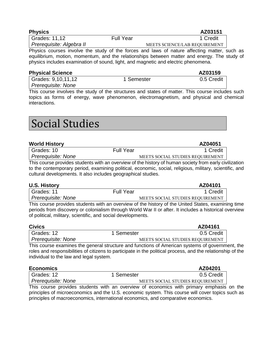| <b>Physics</b>           |                  | AZ03151                       |
|--------------------------|------------------|-------------------------------|
| Grades: 11,12            | <b>Full Year</b> | 1 Credit                      |
| Prerequisite: Algebra II |                  | MEETS SCIENCE/LAB REOUIREMENT |

Physics courses involve the study of the forces and laws of nature affecting matter, such as equilibrium, motion, momentum, and the relationships between matter and energy. The study of physics includes examination of sound, light, and magnetic and electric phenomena.

| <b>Physical Science</b> |            | AZ03159    |
|-------------------------|------------|------------|
| Grades: 9,10,11,12      | 1 Semester | 0.5 Credit |
| Prerequisite: None      |            |            |

This course involves the study of the structures and states of matter. This course includes such topics as forms of energy, wave phenomenon, electromagnetism, and physical and chemical interactions.

### Social Studies

#### **World History AZ04051**

| Grades: 10         | <b>Full Year</b> | 1 Credit                         |
|--------------------|------------------|----------------------------------|
| Prerequisite: None |                  | MEETS SOCIAL STUDIES REOUIREMENT |

This course provides students with an overview of the history of human society from early civilization to the contemporary period, examining political, economic, social, religious, military, scientific, and cultural developments. It also includes geographical studies.

| <b>U.S. History</b> |                  | AZ04101                                                           |  |
|---------------------|------------------|-------------------------------------------------------------------|--|
| Grades: 11          | <b>Full Year</b> | 1 Credit                                                          |  |
| Prerequisite: None  |                  | MEETS SOCIAL STUDIES REQUIREMENT                                  |  |
|                     |                  | 그대로 그 지수는 어머니는 어머니는 그 사람들은 어머니는 어머니의 사람들이 어머니는 어머니는 그 사람들을 하고 있다. |  |

This course provides students with an overview of the history of the United States, examining time periods from discovery or colonialism through World War II or after. It includes a historical overview of political, military, scientific, and social developments.

| <b>Civics</b>      |                                                                                           | AZ04161                          |
|--------------------|-------------------------------------------------------------------------------------------|----------------------------------|
| Grades: 12         | 1 Semester                                                                                | 0.5 Credit                       |
| Prerequisite: None |                                                                                           | MEETS SOCIAL STUDIES REQUIREMENT |
|                    | This course examines the general structure and functions of American systems of governmer |                                  |

se examines the general structure and functions of American systems of government, the roles and responsibilities of citizens to participate in the political process, and the relationship of the individual to the law and legal system.

| <b>Economics</b>          |            | AZ04201                          |
|---------------------------|------------|----------------------------------|
| Grades: 12                | 1 Semester | 0.5 Credit                       |
| <i>Prerequisite: None</i> |            | MEETS SOCIAL STUDIES REQUIREMENT |

This course provides students with an overview of economics with primary emphasis on the principles of microeconomics and the U.S. economic system. This course will cover topics such as principles of macroeconomics, international economics, and comparative economics.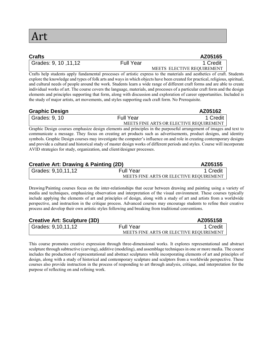| <b>Crafts</b>                |                  | AZ05165                    |
|------------------------------|------------------|----------------------------|
| <b>Grades: 9, 10, 11, 12</b> | <b>Full Year</b> | 1 Credit                   |
|                              |                  | MEETS ELECTIVE REQUIREMENT |

Crafts help students apply fundamental processes of artistic express to the materials and aesthetics of craft. Students explore the knowledge and types of folk arts and ways in which objects have been created for practical, religious, spiritual, and cultural needs of people around the work. Students learn a wide range of different craft forms and are able to create individual works of art. The course covers the language, materials, and processes of a particular craft form and the design elements and principles supporting that form, along with discussion and exploration of career opportunities. Included is the study of major artists, art movements, and styles supporting each craft form. No Prerequisite.

| <b>Graphic Design</b> |                  | AZ05162                                 |
|-----------------------|------------------|-----------------------------------------|
| Grades: $9, 10$       | <b>Full Year</b> | 1 Credit                                |
|                       |                  | MEETS FINE ARTS OR ELECTIVE REOUIREMENT |

Graphic Design courses emphasize design elements and principles in the purposeful arrangement of images and text to communicate a message. They focus on creating art products such as advertisements, product designs, and identity symbols. Graphic Design courses may investigate the computer's influence on and role in creating contemporary designs and provide a cultural and historical study of master design works of different periods and styles. Course will incorporate AVID strategies for study, organization, and client/designer processes.

| <b>Creative Art: Drawing &amp; Painting (2D)</b> |                  | AZ05155                                 |
|--------------------------------------------------|------------------|-----------------------------------------|
| Grades: 9,10,11,12                               | <b>Full Year</b> | 1 Credit                                |
|                                                  |                  | MEETS FINE ARTS OR ELECTIVE REOUIREMENT |

Drawing/Painting courses focus on the inter-relationships that occur between drawing and painting using a variety of media and techniques, emphasizing observation and interpretation of the visual environment. These courses typically include applying the elements of art and principles of design, along with a study of art and artists from a worldwide perspective, and instruction in the critique process. Advanced courses may encourage students to refine their creative process and develop their own artistic styles following and breaking from traditional conventions.

| <b>Creative Art: Sculpture (3D)</b> |                  | AZ055158                                |
|-------------------------------------|------------------|-----------------------------------------|
| Grades: 9,10,11,12                  | <b>Full Year</b> | 1 Credit                                |
|                                     |                  | MEETS FINE ARTS OR ELECTIVE REOUIREMENT |

This course promotes creative expression through three-dimensional works. It explores representational and abstract sculpture through subtractive (carving), additive (modeling), and assemblage techniques in one or more media. The course includes the production of representational and abstract sculptures while incorporating elements of art and principles of design, along with a study of historical and contemporary sculpture and sculptors from a worldwide perspective. These courses also provide instruction in the process of responding to art through analysis, critique, and interpretation for the purpose of reflecting on and refining work.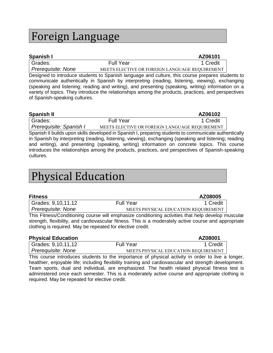### Foreign Language

| Spanish I            |                  | AZ06101                                        |
|----------------------|------------------|------------------------------------------------|
| <sup>I</sup> Grades: | <b>Full Year</b> | 1 Credit                                       |
| Prerequisite: None   |                  | MEETS ELECTIVE OR FOREIGN LANGUAGE REQUIREMENT |

Designed to introduce students to Spanish language and culture, this course prepares students to communicate authentically in Spanish by interpreting (reading, listening, viewing), exchanging (speaking and listening; reading and writing), and presenting (speaking, writing) information on a variety of topics. They introduce the relationships among the products, practices, and perspectives of Spanish-speaking cultures.

| <b>Spanish II</b>       |                  | AZ06102                                        |
|-------------------------|------------------|------------------------------------------------|
| <sup>I</sup> Grades:    | <b>Full Year</b> | 1 Credit                                       |
| Prerequisite: Spanish I |                  | MEETS ELECTIVE OR FOREIGN LANGUAGE REOUIREMENT |

Spanish II builds upon skills developed in Spanish I, preparing students to communicate authentically in Spanish by interpreting (reading, listening, viewing), exchanging (speaking and listening; reading and writing), and presenting (speaking, writing) information on concrete topics. This course introduces the relationships among the products, practices, and perspectives of Spanish-speaking cultures.

## Physical Education

| <b>Fitness</b>     |                                                                                                    | AZ08005                              |
|--------------------|----------------------------------------------------------------------------------------------------|--------------------------------------|
| Grades: 9,10,11,12 | <b>Full Year</b>                                                                                   | 1 Credit                             |
| Prerequisite: None |                                                                                                    | MEETS PHYSICAL EDUCATION REQUIREMENT |
|                    | This Fitness/Conditioning course will emphasize conditioning activities that help develop muscular |                                      |

strength, flexibility, and cardiovascular fitness. This is a moderately active course and appropriate clothing is required. May be repeated for elective credit.

| <b>Physical Education</b> |                                      | AZ08001  |
|---------------------------|--------------------------------------|----------|
| Grades: 9,10,11,12        | <b>Full Year</b>                     | 1 Credit |
| Prerequisite: None        | MEETS PHYSICAL EDUCATION REQUIREMENT |          |

This course introduces students to the importance of physical activity in order to live a longer, healthier, enjoyable life; including flexibility training and cardiovascular and strength development. Team sports, dual and individual, are emphasized. The health related physical fitness test is administered once each semester. This is a moderately active course and appropriate clothing is required. May be repeated for elective credit.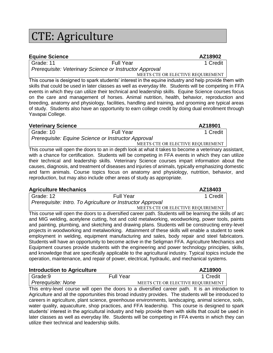## CTE: Agriculture

### **Equine Science AZ18902**

Grade: 11 **Full Year** 1 Credit *Prerequisite: Veterinary Science or Instructor Approval*

**MEETS CTE OR ELECTIVE REQUIREMENT** 

This course is designed to spark students' interest in the equine industry and help provide them with skills that could be used in later classes as well as everyday life. Students will be competing in FFA events in which they can utilize their technical and leadership skills. Equine Science courses focus on the care and management of horses. Animal nutrition, health, behavior, reproduction and breeding, anatomy and physiology, facilities, handling and training, and grooming are typical areas of study. Students also have an opportunity to earn college credit by doing dual enrollment through Yavapai College.

#### **Veterinary Science AZ18901**

Grade: 10 Full Year Full Year 1 Credit *Prerequisite: Equine Science or Instructor Approval* **MEETS CTE OR ELECTIVE REQUIREMENT** 

This course will open the doors to an in depth look at what it takes to become a veterinary assistant, with a chance for certification. Students will be competing in FFA events in which they can utilize their technical and leadership skills. Veterinary Science courses impart information about the causes, diagnosis, and treatment of diseases and injuries of animals, typically emphasizing domestic and farm animals. Course topics focus on anatomy and physiology, nutrition, behavior, and reproduction, but may also include other areas of study as appropriate.

#### **Agriculture Mechanics** Azia and Azia and Azia and Azia and Azia and Azia and Azia and Azia and Azia and Azia and Azia and Azia and Azia and Azia and Azia and Azia and Azia and Azia and Azia and Azia and Azia and Azia and

| Grade: 12 | <b>Full Year</b>                                           | 1 Credit                          |
|-----------|------------------------------------------------------------|-----------------------------------|
|           | Prerequisite: Intro. To Agriculture or Instructor Approval |                                   |
|           |                                                            | MEETS CTE OR ELECTIVE REQUIREMENT |

This course will open the doors to a diversified career path. Students will be learning the skills of arc and MIG welding, acetylene cutting, hot and cold metalworking, woodworking, power tools, paints and painting, plumbing, and sketching and drawing plans. Students will be constructing entry-level projects in woodworking and metalworking. Attainment of these skills will enable a student to seek employment in welding, equipment manufacturing and sales, body repair and steel fabricators. Students will have an opportunity to become active in the Seligman FFA. Agriculture Mechanics and Equipment courses provide students with the engineering and power technology principles, skills, and knowledge that are specifically applicable to the agricultural industry. Typical topics include the operation, maintenance, and repair of power, electrical, hydraulic, and mechanical systems.

| <b>Introduction to Agriculture</b>                                                           |                  |                                   | AZ18900 |          |
|----------------------------------------------------------------------------------------------|------------------|-----------------------------------|---------|----------|
| Grade:9                                                                                      | <b>Full Year</b> |                                   |         | 1 Credit |
| Prerequisite: None                                                                           |                  | MEETS CTE OR ELECTIVE REQUIREMENT |         |          |
| This opter large course will great the deeps to a diversified escare path it is an introduct |                  |                                   |         |          |

This entry-level course will open the doors to a diversified career path. It is an introduction to Agriculture and all the opportunities this broad industry provides. The students will be introduced to careers in agriculture, plant science, greenhouse environments, landscaping, animal science, soils, water quality, aquaculture, shop practices, and FFA leadership. This course is designed to spark students' interest in the agricultural industry and help provide them with skills that could be used in later classes as well as everyday life. Students will be competing in FFA events in which they can utilize their technical and leadership skills.